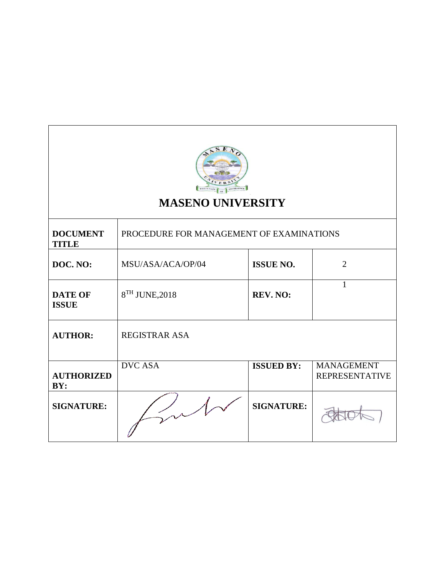

# **MASENO UNIVERSITY**

| <b>DOCUMENT</b><br><b>TITLE</b> | PROCEDURE FOR MANAGEMENT OF EXAMINATIONS |                   |                                            |
|---------------------------------|------------------------------------------|-------------------|--------------------------------------------|
| DOC. NO:                        | MSU/ASA/ACA/OP/04                        | <b>ISSUE NO.</b>  | $\overline{2}$                             |
| <b>DATE OF</b><br><b>ISSUE</b>  | 8 <sup>TH</sup> JUNE, 2018               | <b>REV. NO:</b>   |                                            |
| <b>AUTHOR:</b>                  | <b>REGISTRAR ASA</b>                     |                   |                                            |
| <b>AUTHORIZED</b><br>BY:        | <b>DVC ASA</b>                           | <b>ISSUED BY:</b> | <b>MANAGEMENT</b><br><b>REPRESENTATIVE</b> |
| <b>SIGNATURE:</b>               |                                          | <b>SIGNATURE:</b> |                                            |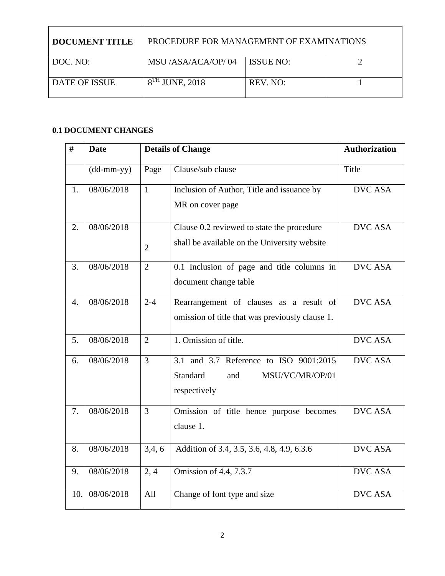| DOCUMENT TITLE | PROCEDURE FOR MANAGEMENT OF EXAMINATIONS |                  |  |
|----------------|------------------------------------------|------------------|--|
| DOC. NO:       | MSU /ASA/ACA/OP/04                       | <b>ISSUE NO:</b> |  |
| DATE OF ISSUE  | $8TH$ JUNE, 2018                         | REV. NO:         |  |

## **0.1 DOCUMENT CHANGES**

| #                | <b>Date</b>  |                | <b>Details of Change</b>                                                                     | <b>Authorization</b> |
|------------------|--------------|----------------|----------------------------------------------------------------------------------------------|----------------------|
|                  | $(dd-mm-yy)$ | Page           | Clause/sub clause                                                                            | Title                |
| 1.               | 08/06/2018   | $\mathbf{1}$   | Inclusion of Author, Title and issuance by<br>MR on cover page                               | <b>DVC ASA</b>       |
| 2.               | 08/06/2018   | $\overline{2}$ | Clause 0.2 reviewed to state the procedure<br>shall be available on the University website   | <b>DVC ASA</b>       |
| 3.               | 08/06/2018   | $\overline{2}$ | 0.1 Inclusion of page and title columns in<br>document change table                          | <b>DVC ASA</b>       |
| $\overline{4}$ . | 08/06/2018   | $2 - 4$        | Rearrangement of clauses as a result of<br>omission of title that was previously clause 1.   | <b>DVC ASA</b>       |
| 5.               | 08/06/2018   | $\overline{2}$ | 1. Omission of title.                                                                        | <b>DVC ASA</b>       |
| 6.               | 08/06/2018   | $\overline{3}$ | 3.1 and 3.7 Reference to ISO 9001:2015<br>Standard<br>and<br>MSU/VC/MR/OP/01<br>respectively | <b>DVC ASA</b>       |
| 7.               | 08/06/2018   | $\overline{3}$ | Omission of title hence purpose becomes<br>clause 1.                                         | <b>DVC ASA</b>       |
| 8.               | 08/06/2018   | 3,4,6          | Addition of 3.4, 3.5, 3.6, 4.8, 4.9, 6.3.6                                                   | <b>DVC ASA</b>       |
| 9.               | 08/06/2018   | 2, 4           | Omission of 4.4, 7.3.7                                                                       | <b>DVC ASA</b>       |
| 10.              | 08/06/2018   | All            | Change of font type and size                                                                 | <b>DVC ASA</b>       |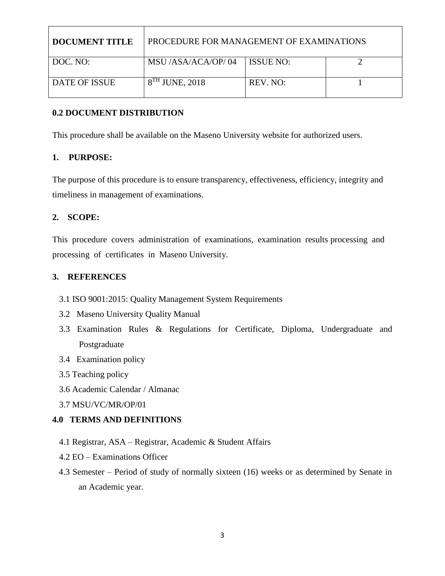| <b>I DOCUMENT TITLE</b> | PROCEDURE FOR MANAGEMENT OF EXAMINATIONS |            |  |
|-------------------------|------------------------------------------|------------|--|
| DOC. NO:                | MSU /ASA/ACA/OP/04                       | LISSUE NO: |  |
| DATE OF ISSUE           | $8TH$ JUNE, 2018                         | REV. NO:   |  |

## **0.2 DOCUMENT DISTRIBUTION**

This procedure shall be available on the Maseno University website for authorized users.

## **1. PURPOSE:**

The purpose of this procedure is to ensure transparency, effectiveness, efficiency, integrity and timeliness in management of examinations.

## **2. SCOPE:**

This procedure covers administration of examinations, examination results processing and processing of certificates in Maseno University.

### **3. REFERENCES**

- 3.1 ISO 9001:2015: Quality Management System Requirements
- 3.2 Maseno University Quality Manual
- 3.3 Examination Rules & Regulations for Certificate, Diploma, Undergraduate and Postgraduate
- 3.4 Examination policy
- 3.5 Teaching policy
- 3.6 Academic Calendar / Almanac
- 3.7 MSU/VC/MR/OP/01

## **4.0 TERMS AND DEFINITIONS**

- 4.1 Registrar, ASA Registrar, Academic & Student Affairs
- 4.2 EO Examinations Officer
- 4.3 Semester Period of study of normally sixteen (16) weeks or as determined by Senate in an Academic year.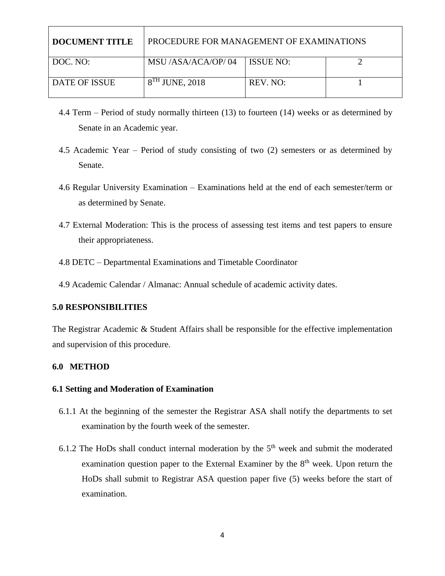| <b>DOCUMENT TITLE</b> | PROCEDURE FOR MANAGEMENT OF EXAMINATIONS |                  |  |
|-----------------------|------------------------------------------|------------------|--|
| DOC. NO:              | MSU /ASA/ACA/OP/04                       | <b>ISSUE NO:</b> |  |
| <b>DATE OF ISSUE</b>  | $8TH$ JUNE, 2018                         | REV. NO:         |  |

- 4.4 Term Period of study normally thirteen (13) to fourteen (14) weeks or as determined by Senate in an Academic year.
- 4.5 Academic Year Period of study consisting of two (2) semesters or as determined by Senate.
- 4.6 Regular University Examination Examinations held at the end of each semester/term or as determined by Senate.
- 4.7 External Moderation: This is the process of assessing test items and test papers to ensure their appropriateness.
- 4.8 DETC Departmental Examinations and Timetable Coordinator
- 4.9 Academic Calendar / Almanac: Annual schedule of academic activity dates.

#### **5.0 RESPONSIBILITIES**

The Registrar Academic & Student Affairs shall be responsible for the effective implementation and supervision of this procedure.

#### **6.0 METHOD**

#### **6.1 Setting and Moderation of Examination**

- 6.1.1 At the beginning of the semester the Registrar ASA shall notify the departments to set examination by the fourth week of the semester.
- 6.1.2 The HoDs shall conduct internal moderation by the  $5<sup>th</sup>$  week and submit the moderated examination question paper to the External Examiner by the  $8<sup>th</sup>$  week. Upon return the HoDs shall submit to Registrar ASA question paper five (5) weeks before the start of examination.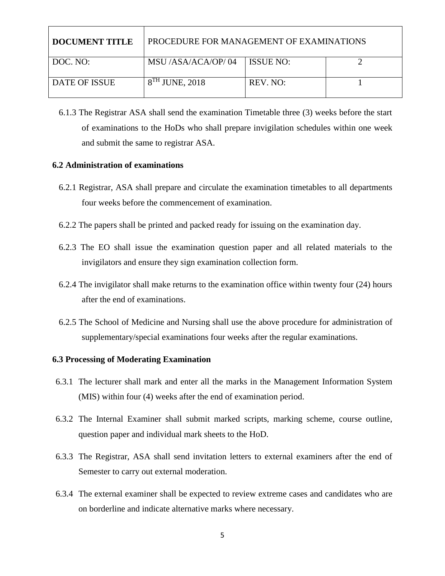| DOCUMENT TITLE       | PROCEDURE FOR MANAGEMENT OF EXAMINATIONS |                  |  |
|----------------------|------------------------------------------|------------------|--|
| DOC. NO:             | MSU /ASA/ACA/OP/04                       | <b>ISSUE NO:</b> |  |
| <b>DATE OF ISSUE</b> | $8TH$ JUNE, 2018                         | REV. NO:         |  |

6.1.3 The Registrar ASA shall send the examination Timetable three (3) weeks before the start of examinations to the HoDs who shall prepare invigilation schedules within one week and submit the same to registrar ASA.

#### **6.2 Administration of examinations**

- 6.2.1 Registrar, ASA shall prepare and circulate the examination timetables to all departments four weeks before the commencement of examination.
- 6.2.2 The papers shall be printed and packed ready for issuing on the examination day.
- 6.2.3 The EO shall issue the examination question paper and all related materials to the invigilators and ensure they sign examination collection form.
- 6.2.4 The invigilator shall make returns to the examination office within twenty four (24) hours after the end of examinations.
- 6.2.5 The School of Medicine and Nursing shall use the above procedure for administration of supplementary/special examinations four weeks after the regular examinations.

#### **6.3 Processing of Moderating Examination**

- 6.3.1 The lecturer shall mark and enter all the marks in the Management Information System (MIS) within four (4) weeks after the end of examination period.
- 6.3.2 The Internal Examiner shall submit marked scripts, marking scheme, course outline, question paper and individual mark sheets to the HoD.
- 6.3.3 The Registrar, ASA shall send invitation letters to external examiners after the end of Semester to carry out external moderation.
- 6.3.4 The external examiner shall be expected to review extreme cases and candidates who are on borderline and indicate alternative marks where necessary.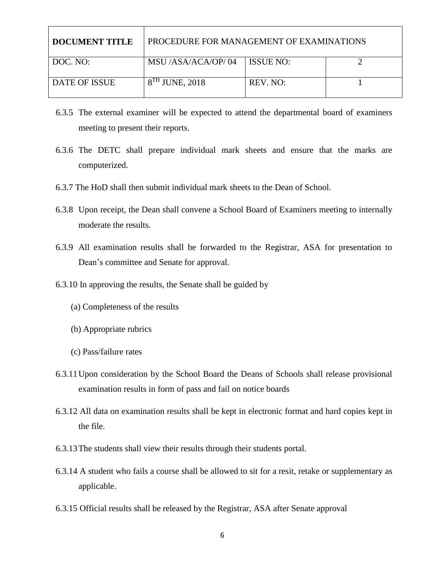| DOCUMENT TITLE       | PROCEDURE FOR MANAGEMENT OF EXAMINATIONS |           |  |
|----------------------|------------------------------------------|-----------|--|
| DOC. NO:             | MSU /ASA/ACA/OP/04                       | ISSUE NO: |  |
| <b>DATE OF ISSUE</b> | $8TH$ JUNE, 2018                         | REV. NO:  |  |

- 6.3.5 The external examiner will be expected to attend the departmental board of examiners meeting to present their reports.
- 6.3.6 The DETC shall prepare individual mark sheets and ensure that the marks are computerized.
- 6.3.7 The HoD shall then submit individual mark sheets to the Dean of School.
- 6.3.8 Upon receipt, the Dean shall convene a School Board of Examiners meeting to internally moderate the results.
- 6.3.9 All examination results shall be forwarded to the Registrar, ASA for presentation to Dean's committee and Senate for approval.
- 6.3.10 In approving the results, the Senate shall be guided by
	- (a) Completeness of the results
	- (b) Appropriate rubrics
	- (c) Pass/failure rates
- 6.3.11Upon consideration by the School Board the Deans of Schools shall release provisional examination results in form of pass and fail on notice boards
- 6.3.12 All data on examination results shall be kept in electronic format and hard copies kept in the file.
- 6.3.13The students shall view their results through their students portal.
- 6.3.14 A student who fails a course shall be allowed to sit for a resit, retake or supplementary as applicable.
- 6.3.15 Official results shall be released by the Registrar, ASA after Senate approval